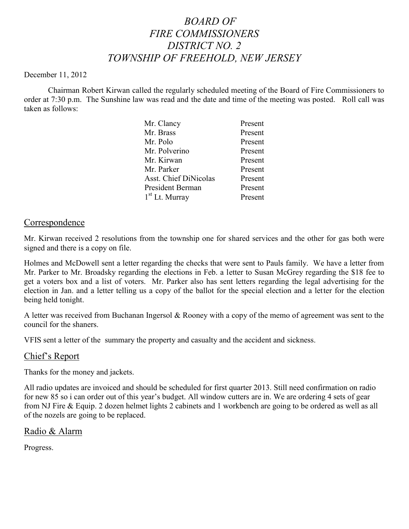# *BOARD OF FIRE COMMISSIONERS DISTRICT NO. 2 TOWNSHIP OF FREEHOLD, NEW JERSEY*

#### December 11, 2012

Chairman Robert Kirwan called the regularly scheduled meeting of the Board of Fire Commissioners to order at 7:30 p.m. The Sunshine law was read and the date and time of the meeting was posted. Roll call was taken as follows:

| Present |
|---------|
| Present |
| Present |
| Present |
| Present |
| Present |
| Present |
| Present |
| Present |
|         |

### Correspondence

Mr. Kirwan received 2 resolutions from the township one for shared services and the other for gas both were signed and there is a copy on file.

Holmes and McDowell sent a letter regarding the checks that were sent to Pauls family. We have a letter from Mr. Parker to Mr. Broadsky regarding the elections in Feb. a letter to Susan McGrey regarding the \$18 fee to get a voters box and a list of voters. Mr. Parker also has sent letters regarding the legal advertising for the election in Jan. and a letter telling us a copy of the ballot for the special election and a letter for the election being held tonight.

A letter was received from Buchanan Ingersol & Rooney with a copy of the memo of agreement was sent to the council for the shaners.

VFIS sent a letter of the summary the property and casualty and the accident and sickness.

### Chief's Report

Thanks for the money and jackets.

All radio updates are invoiced and should be scheduled for first quarter 2013. Still need confirmation on radio for new 85 so i can order out of this year's budget. All window cutters are in. We are ordering 4 sets of gear from NJ Fire & Equip. 2 dozen helmet lights 2 cabinets and 1 workbench are going to be ordered as well as all of the nozels are going to be replaced.

# Radio & Alarm

Progress.